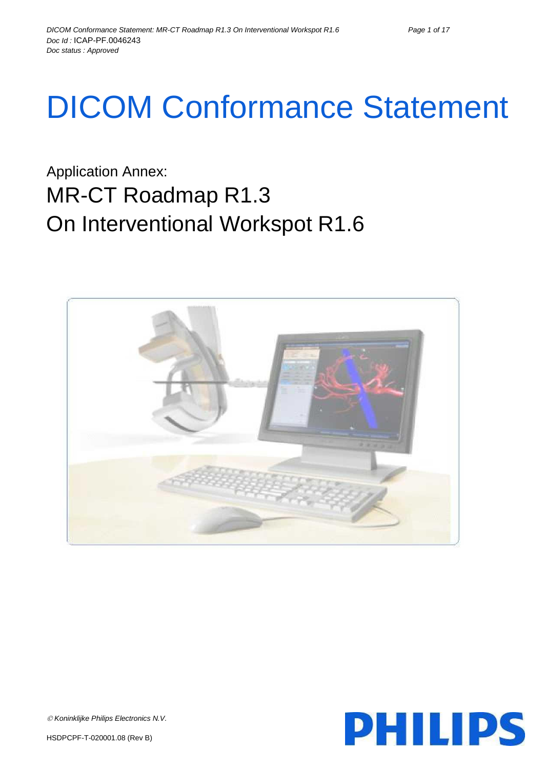# DICOM Conformance Statement

Application Annex: MR-CT Roadmap R1.3 On Interventional Workspot R1.6



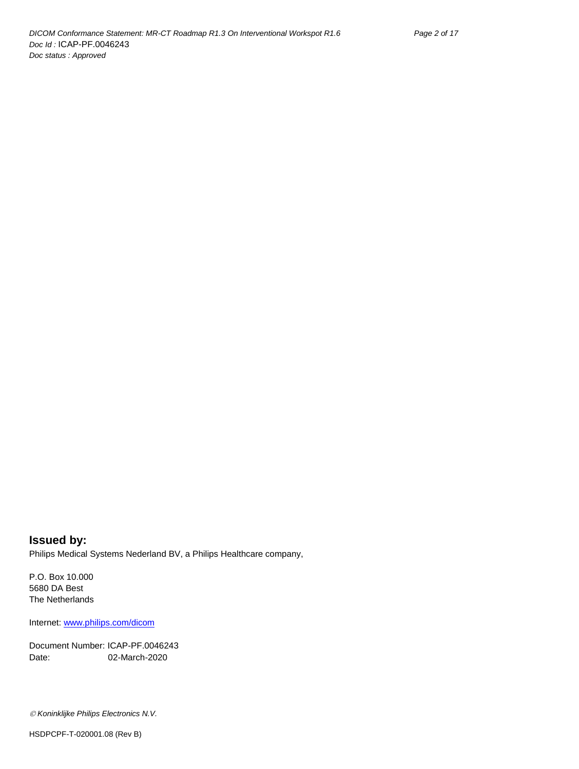**Issued by:** Philips Medical Systems Nederland BV, a Philips Healthcare company,

P.O. Box 10.000 5680 DA Best The Netherlands

Internet[: www.philips.com/dicom](http://www.philips.com/dicom)

Document Number: ICAP-PF.0046243 Date: 02-March-2020

*Koninklijke Philips Electronics N.V.*

HSDPCPF-T-020001.08 (Rev B)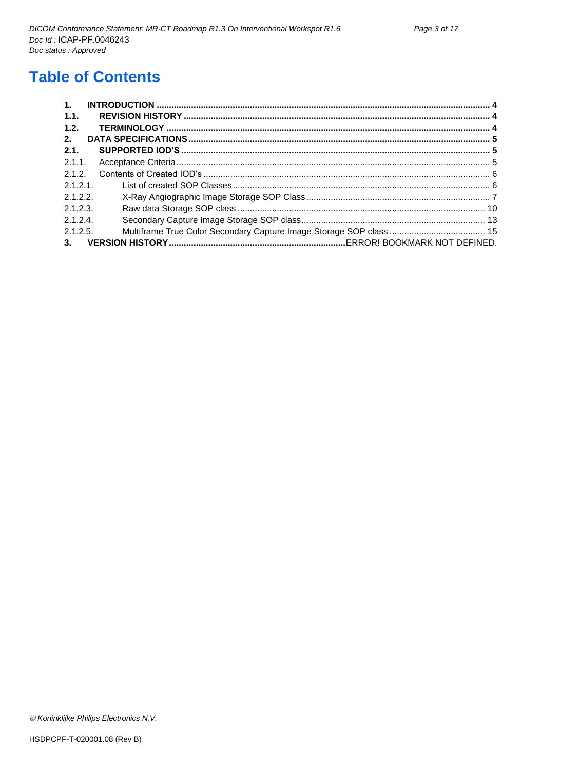# **Table of Contents**

| $\mathbf{1}$ . |  |
|----------------|--|
| 1.1.           |  |
| 1.2.           |  |
| 2.             |  |
| 2.1.           |  |
| 2.1.1          |  |
| 2.1.2.         |  |
| 2.1.2.1        |  |
| 2.1.2.2        |  |
| 2.1.2.3.       |  |
| 2.1.2.4        |  |
| 2.1.2.5.       |  |
| 3.             |  |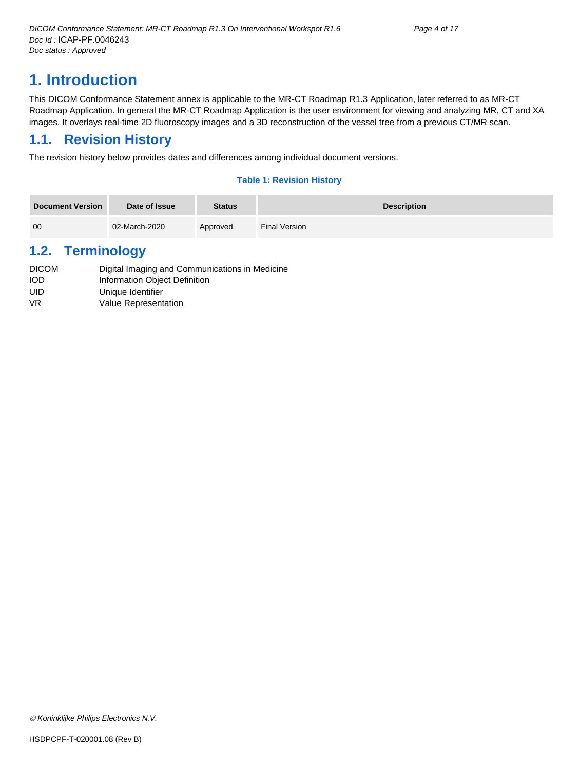# <span id="page-3-0"></span>**1. Introduction**

This DICOM Conformance Statement annex is applicable to the MR-CT Roadmap R1.3 Application, later referred to as MR-CT Roadmap Application. In general the MR-CT Roadmap Application is the user environment for viewing and analyzing MR, CT and XA images. It overlays real-time 2D fluoroscopy images and a 3D reconstruction of the vessel tree from a previous CT/MR scan.

# <span id="page-3-1"></span>**1.1. Revision History**

The revision history below provides dates and differences among individual document versions.

# **Table 1: Revision History**

| <b>Document Version</b> | Date of Issue | <b>Status</b> | <b>Description</b> |
|-------------------------|---------------|---------------|--------------------|
| 00                      | 02-March-2020 | Approved      | Final Version      |

# <span id="page-3-2"></span>**1.2. Terminology**

| <b>DICOM</b> | Digital Imaging and Communications in Medicine |
|--------------|------------------------------------------------|
| <b>IOD</b>   | Information Object Definition                  |
| UID          | Unique Identifier                              |
| VR.          | Value Representation                           |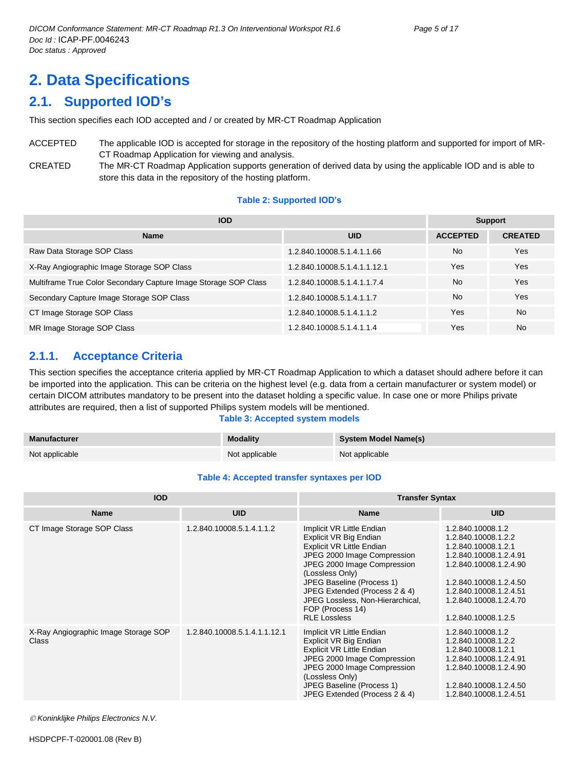# <span id="page-4-0"></span>**2. Data Specifications**

# <span id="page-4-1"></span>**2.1. Supported IOD's**

This section specifies each IOD accepted and / or created by MR-CT Roadmap Application

ACCEPTED The applicable IOD is accepted for storage in the repository of the hosting platform and supported for import of MR-CT Roadmap Application for viewing and analysis. CREATED The MR-CT Roadmap Application supports generation of derived data by using the applicable IOD and is able to store this data in the repository of the hosting platform.

#### **Table 2: Supported IOD's**

| <b>IOD</b>                                                      | <b>Support</b>               |                 |                |
|-----------------------------------------------------------------|------------------------------|-----------------|----------------|
| <b>Name</b>                                                     | <b>UID</b>                   | <b>ACCEPTED</b> | <b>CREATED</b> |
| Raw Data Storage SOP Class                                      | 1.2.840.10008.5.1.4.1.1.66   | <b>No</b>       | Yes            |
| X-Ray Angiographic Image Storage SOP Class                      | 1.2.840.10008.5.1.4.1.1.12.1 | Yes             | Yes            |
| Multiframe True Color Secondary Capture Image Storage SOP Class | 1.2.840.10008.5.1.4.1.1.7.4  | <b>No</b>       | Yes            |
| Secondary Capture Image Storage SOP Class                       | 1.2.840.10008.5.1.4.1.1.7    | No.             | Yes            |
| CT Image Storage SOP Class                                      | 1.2.840.10008.5.1.4.1.1.2    | Yes             | <b>No</b>      |
| MR Image Storage SOP Class                                      | 1.2.840.10008.5.1.4.1.1.4    | Yes             | <b>No</b>      |

# <span id="page-4-2"></span>**2.1.1. Acceptance Criteria**

This section specifies the acceptance criteria applied by MR-CT Roadmap Application to which a dataset should adhere before it can be imported into the application. This can be criteria on the highest level (e.g. data from a certain manufacturer or system model) or certain DICOM attributes mandatory to be present into the dataset holding a specific value. In case one or more Philips private attributes are required, then a list of supported Philips system models will be mentioned.

#### **Table 3: Accepted system models**

| Manufacturer   | <b>Modality</b> | System Model Name(s) |
|----------------|-----------------|----------------------|
| Not applicable | Not applicable  | Not applicable       |

#### **Table 4: Accepted transfer syntaxes per IOD**

| <b>IOD</b>                                    |                              | <b>Transfer Syntax</b>                                                                                                                                                                                                                                                                                                |                                                                                                                                                                                                                          |  |
|-----------------------------------------------|------------------------------|-----------------------------------------------------------------------------------------------------------------------------------------------------------------------------------------------------------------------------------------------------------------------------------------------------------------------|--------------------------------------------------------------------------------------------------------------------------------------------------------------------------------------------------------------------------|--|
| <b>Name</b>                                   | <b>UID</b>                   | <b>Name</b>                                                                                                                                                                                                                                                                                                           | <b>UID</b>                                                                                                                                                                                                               |  |
| CT Image Storage SOP Class                    | 1.2.840.10008.5.1.4.1.1.2    | Implicit VR Little Endian<br>Explicit VR Big Endian<br><b>Explicit VR Little Endian</b><br>JPEG 2000 Image Compression<br>JPEG 2000 Image Compression<br>(Lossless Only)<br>JPEG Baseline (Process 1)<br>JPEG Extended (Process 2 & 4)<br>JPEG Lossless, Non-Hierarchical,<br>FOP (Process 14)<br><b>RLE Lossless</b> | 1.2.840.10008.1.2<br>1.2.840.10008.1.2.2<br>1.2.840.10008.1.2.1<br>1.2.840.10008.1.2.4.91<br>1.2.840.10008.1.2.4.90<br>1.2.840.10008.1.2.4.50<br>1.2.840.10008.1.2.4.51<br>1.2.840.10008.1.2.4.70<br>1.2.840.10008.1.2.5 |  |
| X-Ray Angiographic Image Storage SOP<br>Class | 1.2.840.10008.5.1.4.1.1.12.1 | Implicit VR Little Endian<br>Explicit VR Big Endian<br><b>Explicit VR Little Endian</b><br>JPEG 2000 Image Compression<br>JPEG 2000 Image Compression<br>(Lossless Only)<br>JPEG Baseline (Process 1)<br>JPEG Extended (Process 2 & 4)                                                                                | 1.2.840.10008.1.2<br>1.2.840.10008.1.2.2<br>1.2.840.10008.1.2.1<br>1.2.840.10008.1.2.4.91<br>1.2.840.10008.1.2.4.90<br>1.2.840.10008.1.2.4.50<br>1.2.840.10008.1.2.4.51                                                  |  |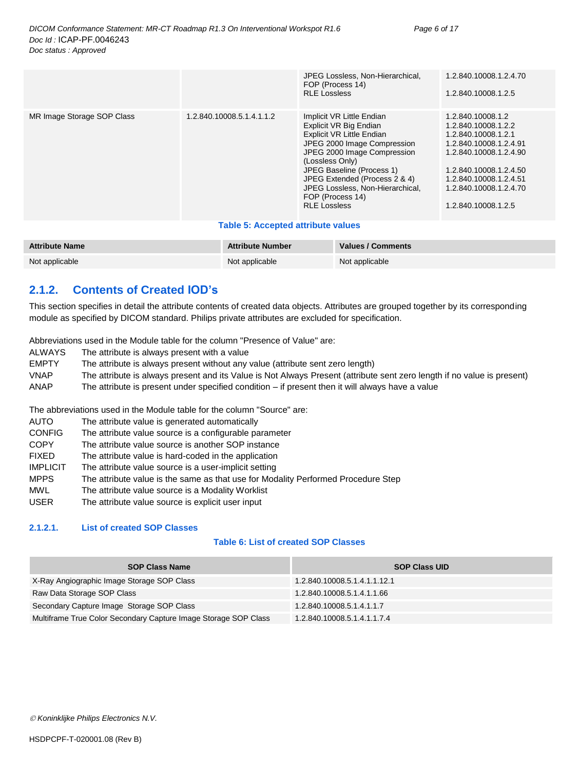|                            |                           | JPEG Lossless, Non-Hierarchical,<br>FOP (Process 14)<br><b>RLE Lossless</b>                                                                                                                                                                                                                                           | 1.2.840.10008.1.2.4.70<br>1.2.840.10008.1.2.5                                                                                                                                                                            |
|----------------------------|---------------------------|-----------------------------------------------------------------------------------------------------------------------------------------------------------------------------------------------------------------------------------------------------------------------------------------------------------------------|--------------------------------------------------------------------------------------------------------------------------------------------------------------------------------------------------------------------------|
| MR Image Storage SOP Class | 1.2.840.10008.5.1.4.1.1.2 | Implicit VR Little Endian<br>Explicit VR Big Endian<br><b>Explicit VR Little Endian</b><br>JPEG 2000 Image Compression<br>JPEG 2000 Image Compression<br>(Lossless Only)<br>JPEG Baseline (Process 1)<br>JPEG Extended (Process 2 & 4)<br>JPEG Lossless, Non-Hierarchical,<br>FOP (Process 14)<br><b>RLE Lossless</b> | 1.2.840.10008.1.2<br>1.2.840.10008.1.2.2<br>1.2.840.10008.1.2.1<br>1.2.840.10008.1.2.4.91<br>1.2.840.10008.1.2.4.90<br>1.2.840.10008.1.2.4.50<br>1.2.840.10008.1.2.4.51<br>1.2.840.10008.1.2.4.70<br>1.2.840.10008.1.2.5 |

#### **Table 5: Accepted attribute values**

| <b>Attribute Name</b> | <b>Attribute Number</b> | Values / Comments |
|-----------------------|-------------------------|-------------------|
| Not applicable        | Not applicable          | Not applicable    |

# <span id="page-5-0"></span>**2.1.2. Contents of Created IOD's**

This section specifies in detail the attribute contents of created data objects. Attributes are grouped together by its corresponding module as specified by DICOM standard. Philips private attributes are excluded for specification.

Abbreviations used in the Module table for the column "Presence of Value" are:

- ALWAYS The attribute is always present with a value
- EMPTY The attribute is always present without any value (attribute sent zero length)
- VNAP The attribute is always present and its Value is Not Always Present (attribute sent zero length if no value is present) ANAP The attribute is present under specified condition – if present then it will always have a value

The abbreviations used in the Module table for the column "Source" are:

- AUTO The attribute value is generated automatically
- CONFIG The attribute value source is a configurable parameter
- COPY The attribute value source is another SOP instance
- FIXED The attribute value is hard-coded in the application
- IMPLICIT The attribute value source is a user-implicit setting
- MPPS The attribute value is the same as that use for Modality Performed Procedure Step
- MWL The attribute value source is a Modality Worklist
- USER The attribute value source is explicit user input

#### <span id="page-5-1"></span>**2.1.2.1. List of created SOP Classes**

# **Table 6: List of created SOP Classes**

| <b>SOP Class Name</b>                                           | <b>SOP Class UID</b>         |
|-----------------------------------------------------------------|------------------------------|
| X-Ray Angiographic Image Storage SOP Class                      | 1.2.840.10008.5.1.4.1.1.12.1 |
| Raw Data Storage SOP Class                                      | 1.2.840.10008.5.1.4.1.1.66   |
| Secondary Capture Image Storage SOP Class                       | 1.2.840.10008.5.1.4.1.1.7    |
| Multiframe True Color Secondary Capture Image Storage SOP Class | 1.2.840.10008.5.1.4.1.1.7.4  |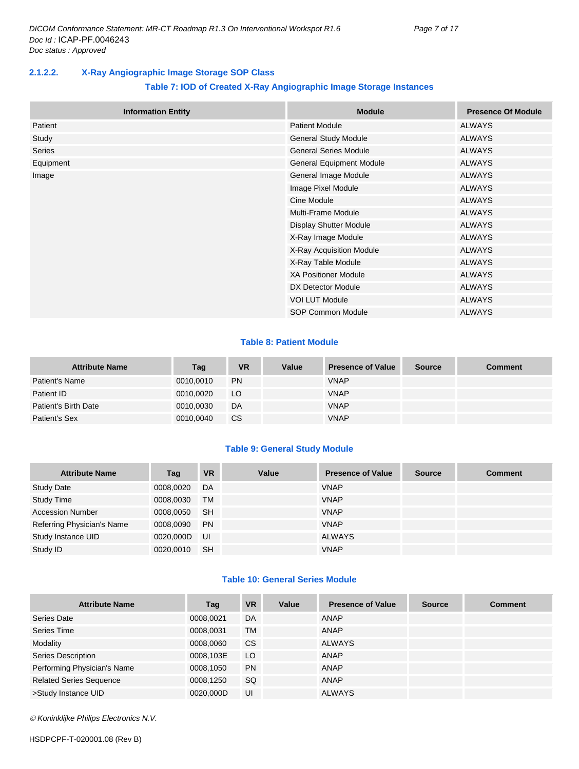# <span id="page-6-0"></span>**2.1.2.2. X-Ray Angiographic Image Storage SOP Class**

# **Table 7: IOD of Created X-Ray Angiographic Image Storage Instances**

| <b>Information Entity</b> | <b>Module</b>                   | <b>Presence Of Module</b> |
|---------------------------|---------------------------------|---------------------------|
| Patient                   | <b>Patient Module</b>           | <b>ALWAYS</b>             |
| Study                     | General Study Module            | <b>ALWAYS</b>             |
| Series                    | <b>General Series Module</b>    | <b>ALWAYS</b>             |
| Equipment                 | <b>General Equipment Module</b> | <b>ALWAYS</b>             |
| Image                     | General Image Module            | <b>ALWAYS</b>             |
|                           | Image Pixel Module              | <b>ALWAYS</b>             |
|                           | Cine Module                     | <b>ALWAYS</b>             |
|                           | Multi-Frame Module              | <b>ALWAYS</b>             |
|                           | <b>Display Shutter Module</b>   | <b>ALWAYS</b>             |
|                           | X-Ray Image Module              | <b>ALWAYS</b>             |
|                           | X-Ray Acquisition Module        | <b>ALWAYS</b>             |
|                           | X-Ray Table Module              | <b>ALWAYS</b>             |
|                           | <b>XA Positioner Module</b>     | <b>ALWAYS</b>             |
|                           | DX Detector Module              | <b>ALWAYS</b>             |
|                           | <b>VOI LUT Module</b>           | <b>ALWAYS</b>             |
|                           | SOP Common Module               | <b>ALWAYS</b>             |

# **Table 8: Patient Module**

| <b>Attribute Name</b> | Tag       | <b>VR</b> | Value | <b>Presence of Value</b> | <b>Source</b> | Comment |
|-----------------------|-----------|-----------|-------|--------------------------|---------------|---------|
| Patient's Name        | 0010,0010 | <b>PN</b> |       | <b>VNAP</b>              |               |         |
| Patient ID            | 0010.0020 | LO        |       | <b>VNAP</b>              |               |         |
| Patient's Birth Date  | 0010,0030 | DA        |       | <b>VNAP</b>              |               |         |
| Patient's Sex         | 0010,0040 | CS.       |       | <b>VNAP</b>              |               |         |

# **Table 9: General Study Module**

| <b>Attribute Name</b>      | Tag       | <b>VR</b> | Value | <b>Presence of Value</b> | <b>Source</b> | <b>Comment</b> |
|----------------------------|-----------|-----------|-------|--------------------------|---------------|----------------|
| <b>Study Date</b>          | 0008,0020 | DA        |       | <b>VNAP</b>              |               |                |
| <b>Study Time</b>          | 0008,0030 | TM        |       | <b>VNAP</b>              |               |                |
| <b>Accession Number</b>    | 0008.0050 | -SH       |       | <b>VNAP</b>              |               |                |
| Referring Physician's Name | 0008,0090 | <b>PN</b> |       | <b>VNAP</b>              |               |                |
| Study Instance UID         | 0020,000D | - UI      |       | <b>ALWAYS</b>            |               |                |
| Study ID                   | 0020.0010 | <b>SH</b> |       | VNAP                     |               |                |

# **Table 10: General Series Module**

| <b>Attribute Name</b>          | Tag       | <b>VR</b> | Value | <b>Presence of Value</b> | <b>Source</b> | <b>Comment</b> |
|--------------------------------|-----------|-----------|-------|--------------------------|---------------|----------------|
| Series Date                    | 0008,0021 | DA        |       | ANAP                     |               |                |
| Series Time                    | 0008,0031 | TM        |       | <b>ANAP</b>              |               |                |
| Modality                       | 0008,0060 | CS.       |       | <b>ALWAYS</b>            |               |                |
| Series Description             | 0008,103E | LO        |       | <b>ANAP</b>              |               |                |
| Performing Physician's Name    | 0008,1050 | <b>PN</b> |       | ANAP                     |               |                |
| <b>Related Series Sequence</b> | 0008,1250 | <b>SQ</b> |       | <b>ANAP</b>              |               |                |
| >Study Instance UID            | 0020.000D | UI        |       | <b>ALWAYS</b>            |               |                |

*Koninklijke Philips Electronics N.V.*

HSDPCPF-T-020001.08 (Rev B)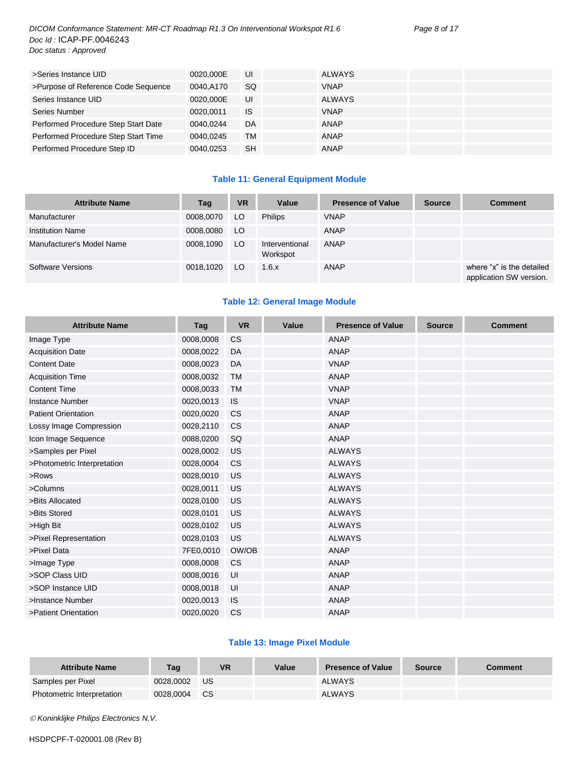# *DICOM Conformance Statement: MR-CT Roadmap R1.3 On Interventional Workspot R1.6 Page 8 of 17 Doc Id :* ICAP-PF.0046243 *Doc status : Approved*

| >Series Instance UID                | 0020.000E | UI        | <b>ALWAYS</b> |  |
|-------------------------------------|-----------|-----------|---------------|--|
| >Purpose of Reference Code Sequence | 0040.A170 | <b>SQ</b> | <b>VNAP</b>   |  |
| Series Instance UID                 | 0020.000E | UI        | ALWAYS        |  |
| Series Number                       | 0020.0011 | IS        | <b>VNAP</b>   |  |
| Performed Procedure Step Start Date | 0040.0244 | <b>DA</b> | <b>ANAP</b>   |  |
| Performed Procedure Step Start Time | 0040.0245 | <b>TM</b> | ANAP          |  |
| Performed Procedure Step ID         | 0040.0253 | <b>SH</b> | <b>ANAP</b>   |  |

# **Table 11: General Equipment Module**

| <b>Attribute Name</b>     | Tag       | <b>VR</b> | Value                      | <b>Presence of Value</b> | <b>Source</b> | <b>Comment</b>                                       |
|---------------------------|-----------|-----------|----------------------------|--------------------------|---------------|------------------------------------------------------|
| Manufacturer              | 0008,0070 | LO.       | <b>Philips</b>             | <b>VNAP</b>              |               |                                                      |
| <b>Institution Name</b>   | 0008,0080 | LO.       |                            | ANAP                     |               |                                                      |
| Manufacturer's Model Name | 0008,1090 | LO.       | Interventional<br>Workspot | ANAP                     |               |                                                      |
| Software Versions         | 0018.1020 | LO.       | 1.6.x                      | ANAP                     |               | where "x" is the detailed<br>application SW version. |

# **Table 12: General Image Module**

| <b>Attribute Name</b>       | Tag       | <b>VR</b> | Value | <b>Presence of Value</b> | <b>Source</b> | <b>Comment</b> |
|-----------------------------|-----------|-----------|-------|--------------------------|---------------|----------------|
| Image Type                  | 0008,0008 | <b>CS</b> |       | <b>ANAP</b>              |               |                |
| <b>Acquisition Date</b>     | 0008,0022 | DA        |       | <b>ANAP</b>              |               |                |
| <b>Content Date</b>         | 0008,0023 | DA        |       | <b>VNAP</b>              |               |                |
| <b>Acquisition Time</b>     | 0008,0032 | <b>TM</b> |       | <b>ANAP</b>              |               |                |
| <b>Content Time</b>         | 0008,0033 | <b>TM</b> |       | <b>VNAP</b>              |               |                |
| <b>Instance Number</b>      | 0020,0013 | <b>IS</b> |       | <b>VNAP</b>              |               |                |
| <b>Patient Orientation</b>  | 0020,0020 | <b>CS</b> |       | <b>ANAP</b>              |               |                |
| Lossy Image Compression     | 0028,2110 | <b>CS</b> |       | <b>ANAP</b>              |               |                |
| Icon Image Sequence         | 0088,0200 | SQ        |       | <b>ANAP</b>              |               |                |
| >Samples per Pixel          | 0028,0002 | US        |       | <b>ALWAYS</b>            |               |                |
| >Photometric Interpretation | 0028,0004 | <b>CS</b> |       | <b>ALWAYS</b>            |               |                |
| >Rows                       | 0028,0010 | US        |       | <b>ALWAYS</b>            |               |                |
| >Columns                    | 0028,0011 | US        |       | <b>ALWAYS</b>            |               |                |
| >Bits Allocated             | 0028,0100 | US        |       | <b>ALWAYS</b>            |               |                |
| >Bits Stored                | 0028,0101 | US        |       | <b>ALWAYS</b>            |               |                |
| >High Bit                   | 0028,0102 | US        |       | <b>ALWAYS</b>            |               |                |
| >Pixel Representation       | 0028,0103 | US        |       | <b>ALWAYS</b>            |               |                |
| >Pixel Data                 | 7FE0,0010 | OW/OB     |       | <b>ANAP</b>              |               |                |
| >Image Type                 | 0008,0008 | <b>CS</b> |       | <b>ANAP</b>              |               |                |
| >SOP Class UID              | 0008,0016 | UI        |       | <b>ANAP</b>              |               |                |
| >SOP Instance UID           | 0008,0018 | UI        |       | <b>ANAP</b>              |               |                |
| >Instance Number            | 0020,0013 | <b>IS</b> |       | <b>ANAP</b>              |               |                |
| >Patient Orientation        | 0020.0020 | <b>CS</b> |       | <b>ANAP</b>              |               |                |

# **Table 13: Image Pixel Module**

| <b>Attribute Name</b>      | Tag       | <b>VR</b> | Value | <b>Presence of Value</b> | Source | Comment |
|----------------------------|-----------|-----------|-------|--------------------------|--------|---------|
| Samples per Pixel          | 0028.0002 | US        |       | <b>ALWAYS</b>            |        |         |
| Photometric Interpretation | 0028,0004 | <b>CS</b> |       | <b>ALWAYS</b>            |        |         |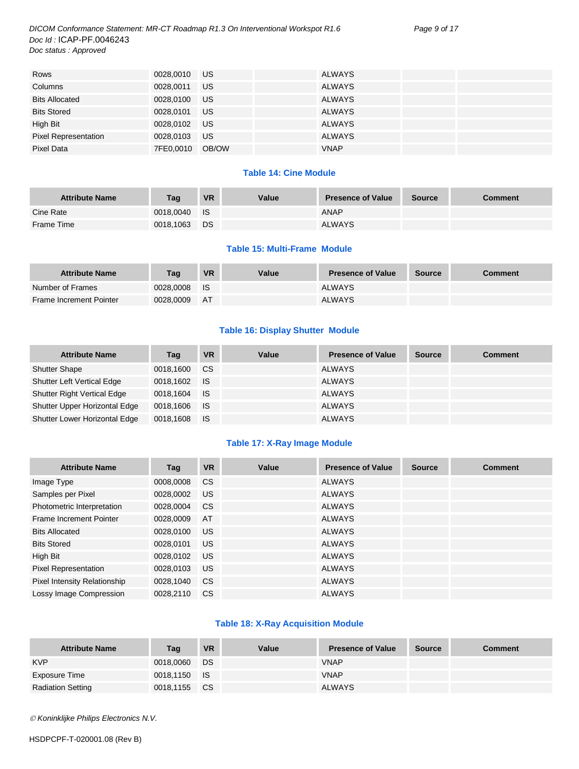*DICOM Conformance Statement: MR-CT Roadmap R1.3 On Interventional Workspot R1.6 Page 9 of 17 Doc Id :* ICAP-PF.0046243 *Doc status : Approved*

| Rows                        | 0028,0010 US    |           | <b>ALWAYS</b> |  |
|-----------------------------|-----------------|-----------|---------------|--|
| Columns                     | 0028,0011       | US.       | <b>ALWAYS</b> |  |
| <b>Bits Allocated</b>       | 0028,0100       | <b>US</b> | <b>ALWAYS</b> |  |
| <b>Bits Stored</b>          | 0028,0101       | <b>US</b> | <b>ALWAYS</b> |  |
| High Bit                    | 0028,0102 US    |           | <b>ALWAYS</b> |  |
| <b>Pixel Representation</b> | 0028,0103       | <b>US</b> | <b>ALWAYS</b> |  |
| Pixel Data                  | 7FE0,0010 OB/OW |           | <b>VNAP</b>   |  |

# **Table 14: Cine Module**

| <b>Attribute Name</b> | Tag       | <b>VR</b> | Value | <b>Presence of Value</b> | <b>Source</b> | Comment |
|-----------------------|-----------|-----------|-------|--------------------------|---------------|---------|
| Cine Rate             | 0018.0040 | ⊟ IS      |       | <b>ANAP</b>              |               |         |
| Frame Time            | 0018,1063 | DS        |       | <b>ALWAYS</b>            |               |         |

#### **Table 15: Multi-Frame Module**

| <b>Attribute Name</b>          | <b>Tag</b> | <b>VR</b> | Value | <b>Presence of Value</b> | <b>Source</b> | <b>Comment</b> |
|--------------------------------|------------|-----------|-------|--------------------------|---------------|----------------|
| Number of Frames               | 0028.0008  | - IS      |       | <b>ALWAYS</b>            |               |                |
| <b>Frame Increment Pointer</b> | 0028.0009  | AT        |       | <b>ALWAYS</b>            |               |                |

# **Table 16: Display Shutter Module**

| <b>Attribute Name</b>              | Tag       | <b>VR</b>   | Value | <b>Presence of Value</b> | <b>Source</b> | <b>Comment</b> |
|------------------------------------|-----------|-------------|-------|--------------------------|---------------|----------------|
| <b>Shutter Shape</b>               | 0018,1600 | <b>CS</b>   |       | <b>ALWAYS</b>            |               |                |
| <b>Shutter Left Vertical Edge</b>  | 0018,1602 | ⊟ IS        |       | <b>ALWAYS</b>            |               |                |
| <b>Shutter Right Vertical Edge</b> | 0018.1604 | ⊟ IS        |       | <b>ALWAYS</b>            |               |                |
| Shutter Upper Horizontal Edge      | 0018,1606 | <b>I</b> IS |       | <b>ALWAYS</b>            |               |                |
| Shutter Lower Horizontal Edge      | 0018,1608 | - IS        |       | <b>ALWAYS</b>            |               |                |

# **Table 17: X-Ray Image Module**

| <b>Attribute Name</b>               | Tag       | <b>VR</b>     | Value | <b>Presence of Value</b> | <b>Source</b> | <b>Comment</b> |
|-------------------------------------|-----------|---------------|-------|--------------------------|---------------|----------------|
| Image Type                          | 0008,0008 | <b>CS</b>     |       | <b>ALWAYS</b>            |               |                |
| Samples per Pixel                   | 0028,0002 | US            |       | <b>ALWAYS</b>            |               |                |
| Photometric Interpretation          | 0028,0004 | <b>CS</b>     |       | <b>ALWAYS</b>            |               |                |
| Frame Increment Pointer             | 0028,0009 | AT            |       | <b>ALWAYS</b>            |               |                |
| <b>Bits Allocated</b>               | 0028,0100 | US            |       | <b>ALWAYS</b>            |               |                |
| <b>Bits Stored</b>                  | 0028.0101 | US.           |       | <b>ALWAYS</b>            |               |                |
| High Bit                            | 0028.0102 | US.           |       | <b>ALWAYS</b>            |               |                |
| <b>Pixel Representation</b>         | 0028,0103 | US            |       | <b>ALWAYS</b>            |               |                |
| <b>Pixel Intensity Relationship</b> | 0028.1040 | <b>CS</b>     |       | <b>ALWAYS</b>            |               |                |
| Lossy Image Compression             | 0028.2110 | <sub>CS</sub> |       | <b>ALWAYS</b>            |               |                |

# **Table 18: X-Ray Acquisition Module**

| <b>Attribute Name</b>    | Tag          | <b>VR</b> | Value | <b>Presence of Value</b> | <b>Source</b> | <b>Comment</b> |
|--------------------------|--------------|-----------|-------|--------------------------|---------------|----------------|
| <b>KVP</b>               | 0018,0060    | DS        |       | <b>VNAP</b>              |               |                |
| Exposure Time            | 0018,1150 IS |           |       | <b>VNAP</b>              |               |                |
| <b>Radiation Setting</b> | 0018,1155    | CS.       |       | <b>ALWAYS</b>            |               |                |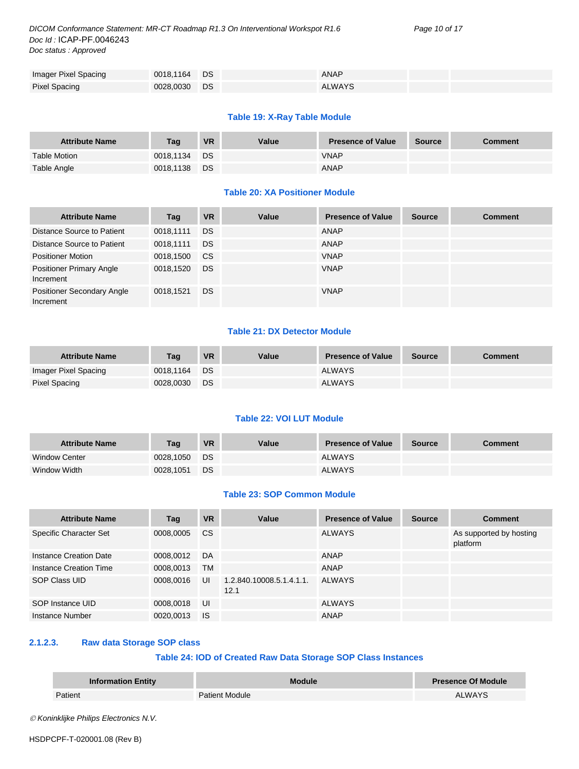*DICOM Conformance Statement: MR-CT Roadmap R1.3 On Interventional Workspot R1.6 Page 10 of 17 Doc Id :* ICAP-PF.0046243 *Doc status : Approved*

| Imager Pixel Spacing | 0018,1164 DS | ANAP          |  |
|----------------------|--------------|---------------|--|
| <b>Pixel Spacing</b> | 0028,0030 DS | <b>ALWAYS</b> |  |

# **Table 19: X-Ray Table Module**

| <b>Attribute Name</b> | Tag       | <b>VR</b> | Value | <b>Presence of Value</b> | <b>Source</b> | <b>Comment</b> |
|-----------------------|-----------|-----------|-------|--------------------------|---------------|----------------|
| <b>Table Motion</b>   | 0018.1134 | <b>DS</b> |       | <b>VNAP</b>              |               |                |
| Table Angle           | 0018,1138 | DS.       |       | ANAP                     |               |                |

# **Table 20: XA Positioner Module**

| <b>Attribute Name</b>                          | Tag       | <b>VR</b> | Value | <b>Presence of Value</b> | <b>Source</b> | <b>Comment</b> |
|------------------------------------------------|-----------|-----------|-------|--------------------------|---------------|----------------|
| Distance Source to Patient                     | 0018,1111 | <b>DS</b> |       | ANAP                     |               |                |
| Distance Source to Patient                     | 0018.1111 | <b>DS</b> |       | <b>ANAP</b>              |               |                |
| <b>Positioner Motion</b>                       | 0018,1500 | <b>CS</b> |       | <b>VNAP</b>              |               |                |
| <b>Positioner Primary Angle</b><br>Increment   | 0018,1520 | <b>DS</b> |       | <b>VNAP</b>              |               |                |
| <b>Positioner Secondary Angle</b><br>Increment | 0018,1521 | DS.       |       | <b>VNAP</b>              |               |                |

# **Table 21: DX Detector Module**

| <b>Attribute Name</b> | Taq       | <b>VR</b> | Value | <b>Presence of Value</b> | <b>Source</b> | Comment |
|-----------------------|-----------|-----------|-------|--------------------------|---------------|---------|
| Imager Pixel Spacing  | 0018.1164 | <b>DS</b> |       | <b>ALWAYS</b>            |               |         |
| Pixel Spacing         | 0028.0030 | DS        |       | <b>ALWAYS</b>            |               |         |

#### **Table 22: VOI LUT Module**

| <b>Attribute Name</b> | Tag       | <b>VR</b> | Value | <b>Presence of Value</b> | <b>Source</b> | Comment |
|-----------------------|-----------|-----------|-------|--------------------------|---------------|---------|
| <b>Window Center</b>  | 0028.1050 | <b>DS</b> |       | <b>ALWAYS</b>            |               |         |
| Window Width          | 0028,1051 | DS        |       | <b>ALWAYS</b>            |               |         |

#### **Table 23: SOP Common Module**

| <b>Attribute Name</b>  | Tag       | <b>VR</b> | Value                            | <b>Presence of Value</b> | <b>Source</b> | <b>Comment</b>                      |
|------------------------|-----------|-----------|----------------------------------|--------------------------|---------------|-------------------------------------|
| Specific Character Set | 0008,0005 | CS        |                                  | <b>ALWAYS</b>            |               | As supported by hosting<br>platform |
| Instance Creation Date | 0008.0012 | DA        |                                  | ANAP                     |               |                                     |
| Instance Creation Time | 0008,0013 | <b>TM</b> |                                  | <b>ANAP</b>              |               |                                     |
| SOP Class UID          | 0008,0016 | UI        | 1.2.840.10008.5.1.4.1.1.<br>12.1 | <b>ALWAYS</b>            |               |                                     |
| SOP Instance UID       | 0008,0018 | UI        |                                  | <b>ALWAYS</b>            |               |                                     |
| Instance Number        | 0020,0013 | <b>IS</b> |                                  | ANAP                     |               |                                     |

# <span id="page-9-0"></span>**2.1.2.3. Raw data Storage SOP class**

# **Table 24: IOD of Created Raw Data Storage SOP Class Instances**

| <b>Information Entity</b> | <b>Module</b>         | <b>Presence Of Module</b> |
|---------------------------|-----------------------|---------------------------|
| atient?                   | <b>Patient Module</b> | <b>ALWAYS</b>             |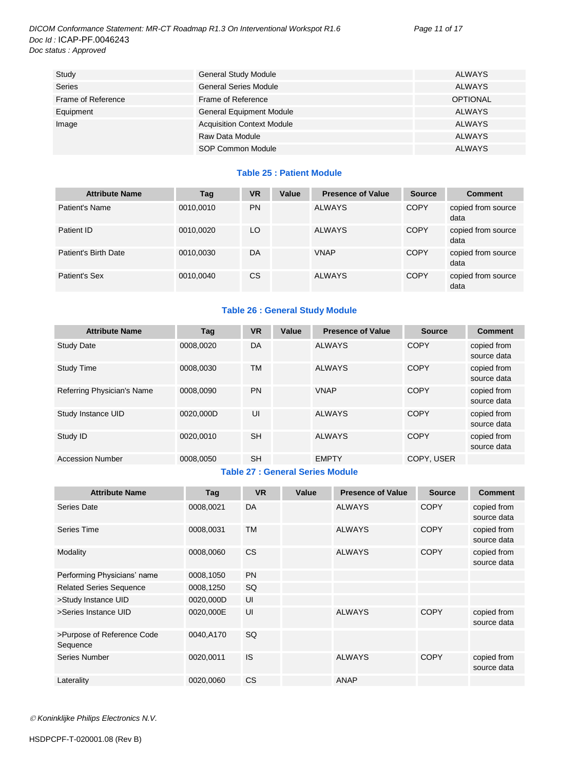| Study              | <b>General Study Module</b>       | <b>ALWAYS</b>   |
|--------------------|-----------------------------------|-----------------|
| <b>Series</b>      | <b>General Series Module</b>      | ALWAYS          |
| Frame of Reference | Frame of Reference                | <b>OPTIONAL</b> |
| Equipment          | <b>General Equipment Module</b>   | <b>ALWAYS</b>   |
| Image              | <b>Acquisition Context Module</b> | <b>ALWAYS</b>   |
|                    | Raw Data Module                   | <b>ALWAYS</b>   |
|                    | SOP Common Module                 | <b>ALWAYS</b>   |

# **Table 25 : Patient Module**

| <b>Attribute Name</b> | Tag       | <b>VR</b> | Value | <b>Presence of Value</b> | <b>Source</b> | <b>Comment</b>             |
|-----------------------|-----------|-----------|-------|--------------------------|---------------|----------------------------|
| Patient's Name        | 0010,0010 | <b>PN</b> |       | <b>ALWAYS</b>            | <b>COPY</b>   | copied from source<br>data |
| Patient ID            | 0010,0020 | LO        |       | <b>ALWAYS</b>            | <b>COPY</b>   | copied from source<br>data |
| Patient's Birth Date  | 0010,0030 | DA        |       | <b>VNAP</b>              | <b>COPY</b>   | copied from source<br>data |
| Patient's Sex         | 0010,0040 | CS        |       | <b>ALWAYS</b>            | <b>COPY</b>   | copied from source<br>data |

# **Table 26 : General Study Module**

| Tag       | <b>VR</b> | Value | <b>Presence of Value</b> | <b>Source</b> | <b>Comment</b>             |
|-----------|-----------|-------|--------------------------|---------------|----------------------------|
| 0008.0020 | DA        |       | <b>ALWAYS</b>            | COPY          | copied from<br>source data |
| 0008,0030 | <b>TM</b> |       | <b>ALWAYS</b>            | <b>COPY</b>   | copied from<br>source data |
| 0008.0090 | <b>PN</b> |       | <b>VNAP</b>              | <b>COPY</b>   | copied from<br>source data |
| 0020.000D | UI        |       | <b>ALWAYS</b>            | <b>COPY</b>   | copied from<br>source data |
| 0020.0010 | <b>SH</b> |       | <b>ALWAYS</b>            | <b>COPY</b>   | copied from<br>source data |
| 0008,0050 | <b>SH</b> |       | <b>EMPTY</b>             | COPY, USER    |                            |
|           |           |       |                          |               |                            |

#### **Table 27 : General Series Module**

| <b>Attribute Name</b>                  | Tag       | <b>VR</b> | Value | <b>Presence of Value</b> | <b>Source</b> | <b>Comment</b>             |
|----------------------------------------|-----------|-----------|-------|--------------------------|---------------|----------------------------|
| Series Date                            | 0008,0021 | DA        |       | <b>ALWAYS</b>            | <b>COPY</b>   | copied from<br>source data |
| Series Time                            | 0008,0031 | TM        |       | <b>ALWAYS</b>            | <b>COPY</b>   | copied from<br>source data |
| Modality                               | 0008,0060 | <b>CS</b> |       | <b>ALWAYS</b>            | <b>COPY</b>   | copied from<br>source data |
| Performing Physicians' name            | 0008,1050 | <b>PN</b> |       |                          |               |                            |
| <b>Related Series Sequence</b>         | 0008,1250 | SQ        |       |                          |               |                            |
| >Study Instance UID                    | 0020,000D | UI        |       |                          |               |                            |
| >Series Instance UID                   | 0020,000E | UI        |       | <b>ALWAYS</b>            | <b>COPY</b>   | copied from<br>source data |
| >Purpose of Reference Code<br>Sequence | 0040.A170 | <b>SQ</b> |       |                          |               |                            |
| <b>Series Number</b>                   | 0020,0011 | <b>IS</b> |       | <b>ALWAYS</b>            | <b>COPY</b>   | copied from<br>source data |
| Laterality                             | 0020,0060 | <b>CS</b> |       | ANAP                     |               |                            |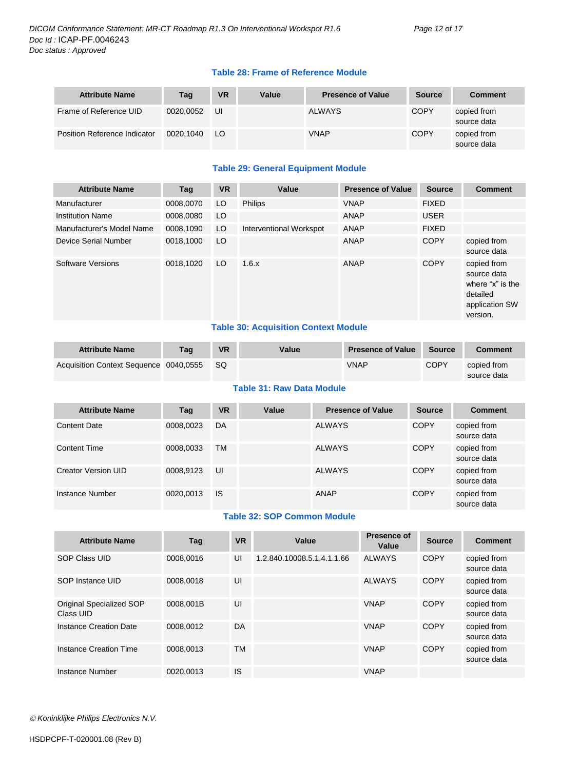# **Table 28: Frame of Reference Module**

| <b>Attribute Name</b>        | Tag       | <b>VR</b> | Value | <b>Presence of Value</b> | <b>Source</b> | <b>Comment</b>             |
|------------------------------|-----------|-----------|-------|--------------------------|---------------|----------------------------|
| Frame of Reference UID       | 0020.0052 | UI        |       | ALWAYS                   | <b>COPY</b>   | copied from<br>source data |
| Position Reference Indicator | 0020.1040 | LO.       |       | <b>VNAP</b>              | <b>COPY</b>   | copied from<br>source data |

# **Table 29: General Equipment Module**

|           |    | Value                   | <b>Presence of Value</b> | <b>Source</b> | <b>Comment</b>                                                                           |
|-----------|----|-------------------------|--------------------------|---------------|------------------------------------------------------------------------------------------|
| 0008.0070 | LO | <b>Philips</b>          | <b>VNAP</b>              | <b>FIXED</b>  |                                                                                          |
| 0008.0080 |    |                         | ANAP                     | <b>USER</b>   |                                                                                          |
| 0008,1090 |    | Interventional Workspot | ANAP                     | <b>FIXED</b>  |                                                                                          |
| 0018,1000 |    |                         | ANAP                     | <b>COPY</b>   | copied from<br>source data                                                               |
| 0018.1020 |    | 1.6.x                   | ANAP                     | <b>COPY</b>   | copied from<br>source data<br>where "x" is the<br>detailed<br>application SW<br>version. |
|           |    | LO.<br>LO<br>LO<br>LO   | -------                  | _________     |                                                                                          |

## **Table 30: Acquisition Context Module**

| <b>Attribute Name</b>                  | Taq | <b>VR</b> | Value | <b>Presence of Value</b> | Source      | Comment     |
|----------------------------------------|-----|-----------|-------|--------------------------|-------------|-------------|
| Acquisition Context Sequence 0040,0555 |     | - SQ      |       | <b>VNAP</b>              | <b>COPY</b> | copied from |
|                                        |     |           |       |                          |             | source data |

## **Table 31: Raw Data Module**

| <b>Attribute Name</b> | Tag       | <b>VR</b> | Value | <b>Presence of Value</b> | <b>Source</b> | <b>Comment</b>             |
|-----------------------|-----------|-----------|-------|--------------------------|---------------|----------------------------|
| <b>Content Date</b>   | 0008,0023 | DA        |       | <b>ALWAYS</b>            | <b>COPY</b>   | copied from<br>source data |
| <b>Content Time</b>   | 0008,0033 | <b>TM</b> |       | <b>ALWAYS</b>            | <b>COPY</b>   | copied from<br>source data |
| Creator Version UID   | 0008.9123 | UI        |       | <b>ALWAYS</b>            | <b>COPY</b>   | copied from<br>source data |
| Instance Number       | 0020,0013 | <b>IS</b> |       | ANAP                     | <b>COPY</b>   | copied from<br>source data |

# **Table 32: SOP Common Module**

| <b>Attribute Name</b>                 | Tag       | <b>VR</b> | Value                      | <b>Presence of</b><br>Value | <b>Source</b> | <b>Comment</b>             |
|---------------------------------------|-----------|-----------|----------------------------|-----------------------------|---------------|----------------------------|
| SOP Class UID                         | 0008.0016 | UI        | 1.2.840.10008.5.1.4.1.1.66 | <b>ALWAYS</b>               | <b>COPY</b>   | copied from<br>source data |
| SOP Instance UID                      | 0008.0018 | UI        |                            | <b>ALWAYS</b>               | <b>COPY</b>   | copied from<br>source data |
| Original Specialized SOP<br>Class UID | 0008.001B | UI        |                            | <b>VNAP</b>                 | <b>COPY</b>   | copied from<br>source data |
| <b>Instance Creation Date</b>         | 0008.0012 | DA        |                            | <b>VNAP</b>                 | <b>COPY</b>   | copied from<br>source data |
| <b>Instance Creation Time</b>         | 0008.0013 | ТM        |                            | <b>VNAP</b>                 | <b>COPY</b>   | copied from<br>source data |
| Instance Number                       | 0020.0013 | IS        |                            | <b>VNAP</b>                 |               |                            |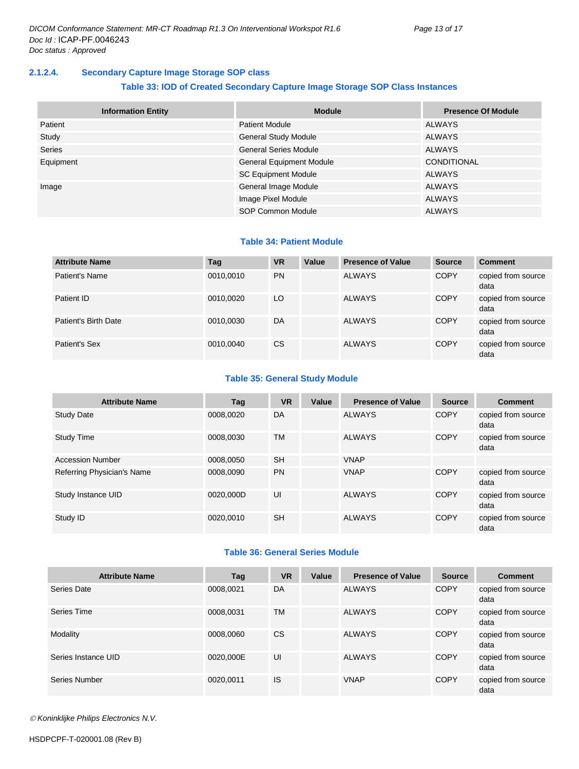# <span id="page-12-0"></span>**2.1.2.4. Secondary Capture Image Storage SOP class**

# **Table 33: IOD of Created Secondary Capture Image Storage SOP Class Instances**

| <b>Information Entity</b> | <b>Module</b>                   | <b>Presence Of Module</b> |
|---------------------------|---------------------------------|---------------------------|
| Patient                   | <b>Patient Module</b>           | ALWAYS                    |
| Study                     | <b>General Study Module</b>     | ALWAYS                    |
| <b>Series</b>             | <b>General Series Module</b>    | <b>ALWAYS</b>             |
| Equipment                 | <b>General Equipment Module</b> | <b>CONDITIONAL</b>        |
|                           | <b>SC Equipment Module</b>      | <b>ALWAYS</b>             |
| Image                     | General Image Module            | <b>ALWAYS</b>             |
|                           | Image Pixel Module              | <b>ALWAYS</b>             |
|                           | <b>SOP Common Module</b>        | <b>ALWAYS</b>             |

#### **Table 34: Patient Module**

| <b>Attribute Name</b> | Tag       | <b>VR</b>     | Value | <b>Presence of Value</b> | <b>Source</b> | <b>Comment</b>             |
|-----------------------|-----------|---------------|-------|--------------------------|---------------|----------------------------|
| Patient's Name        | 0010,0010 | <b>PN</b>     |       | <b>ALWAYS</b>            | <b>COPY</b>   | copied from source<br>data |
| Patient ID            | 0010,0020 | LO            |       | <b>ALWAYS</b>            | <b>COPY</b>   | copied from source<br>data |
| Patient's Birth Date  | 0010,0030 | DA            |       | <b>ALWAYS</b>            | <b>COPY</b>   | copied from source<br>data |
| Patient's Sex         | 0010,0040 | <sub>CS</sub> |       | <b>ALWAYS</b>            | <b>COPY</b>   | copied from source<br>data |

# **Table 35: General Study Module**

| <b>Attribute Name</b>      | Tag       | <b>VR</b> | Value | <b>Presence of Value</b> | <b>Source</b> | <b>Comment</b>             |
|----------------------------|-----------|-----------|-------|--------------------------|---------------|----------------------------|
| <b>Study Date</b>          | 0008,0020 | DA        |       | <b>ALWAYS</b>            | <b>COPY</b>   | copied from source<br>data |
| <b>Study Time</b>          | 0008.0030 | <b>TM</b> |       | <b>ALWAYS</b>            | <b>COPY</b>   | copied from source<br>data |
| <b>Accession Number</b>    | 0008.0050 | <b>SH</b> |       | <b>VNAP</b>              |               |                            |
| Referring Physician's Name | 0008.0090 | <b>PN</b> |       | <b>VNAP</b>              | <b>COPY</b>   | copied from source<br>data |
| Study Instance UID         | 0020.000D | UI        |       | <b>ALWAYS</b>            | <b>COPY</b>   | copied from source<br>data |
| Study ID                   | 0020.0010 | <b>SH</b> |       | <b>ALWAYS</b>            | <b>COPY</b>   | copied from source<br>data |

# **Table 36: General Series Module**

| <b>Attribute Name</b> | Tag       | <b>VR</b> | Value | <b>Presence of Value</b> | <b>Source</b> | <b>Comment</b>             |
|-----------------------|-----------|-----------|-------|--------------------------|---------------|----------------------------|
| Series Date           | 0008,0021 | DA        |       | <b>ALWAYS</b>            | <b>COPY</b>   | copied from source<br>data |
| Series Time           | 0008,0031 | <b>TM</b> |       | <b>ALWAYS</b>            | <b>COPY</b>   | copied from source<br>data |
| Modality              | 0008.0060 | <b>CS</b> |       | <b>ALWAYS</b>            | <b>COPY</b>   | copied from source<br>data |
| Series Instance UID   | 0020,000E | UI        |       | <b>ALWAYS</b>            | <b>COPY</b>   | copied from source<br>data |
| Series Number         | 0020,0011 | <b>IS</b> |       | <b>VNAP</b>              | <b>COPY</b>   | copied from source<br>data |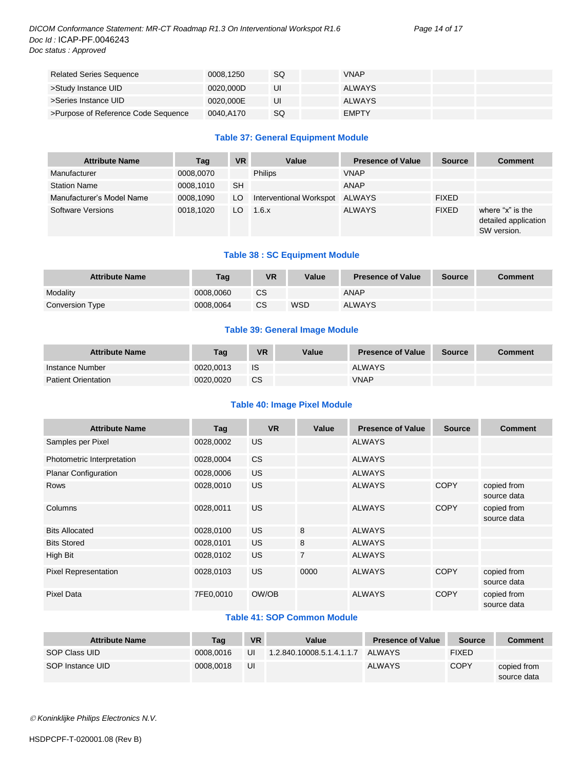## *DICOM Conformance Statement: MR-CT Roadmap R1.3 On Interventional Workspot R1.6 Page 14 of 17 Doc Id :* ICAP-PF.0046243 *Doc status : Approved*

| <b>Related Series Sequence</b>      | 0008.1250 | SQ | VNAP          |  |
|-------------------------------------|-----------|----|---------------|--|
| >Study Instance UID                 | 0020.000D | UI | <b>ALWAYS</b> |  |
| >Series Instance UID                | 0020,000E | UI | ALWAYS        |  |
| >Purpose of Reference Code Sequence | 0040.A170 | SQ | <b>EMPTY</b>  |  |

# **Table 37: General Equipment Module**

| <b>Attribute Name</b>     | Tag       | <b>VR</b> | Value                   | <b>Presence of Value</b> | <b>Source</b> | <b>Comment</b>                                          |
|---------------------------|-----------|-----------|-------------------------|--------------------------|---------------|---------------------------------------------------------|
| Manufacturer              | 0008,0070 |           | <b>Philips</b>          | <b>VNAP</b>              |               |                                                         |
| <b>Station Name</b>       | 0008.1010 | <b>SH</b> |                         | ANAP                     |               |                                                         |
| Manufacturer's Model Name | 0008.1090 | LO.       | Interventional Workspot | ALWAYS                   | <b>FIXED</b>  |                                                         |
| Software Versions         | 0018.1020 | LO.       | 1.6.x                   | <b>ALWAYS</b>            | <b>FIXED</b>  | where "x" is the<br>detailed application<br>SW version. |

# **Table 38 : SC Equipment Module**

| <b>Attribute Name</b> | Taq       | VR | Value | <b>Presence of Value</b> | <b>Source</b> | <b>Comment</b> |
|-----------------------|-----------|----|-------|--------------------------|---------------|----------------|
| Modality              | 0008.0060 | СS |       | ANAP                     |               |                |
| Conversion Type       | 0008.0064 | CS | WSD   | <b>ALWAYS</b>            |               |                |

# **Table 39: General Image Module**

| <b>Attribute Name</b>      | Tag       | <b>VR</b> | Value | <b>Presence of Value</b> | <b>Source</b> | <b>Comment</b> |
|----------------------------|-----------|-----------|-------|--------------------------|---------------|----------------|
| Instance Number            | 0020.0013 | 1S        |       | <b>ALWAYS</b>            |               |                |
| <b>Patient Orientation</b> | 0020.0020 | CS        |       | <b>VNAP</b>              |               |                |

# **Table 40: Image Pixel Module**

| <b>Attribute Name</b>       | Tag       | <b>VR</b> | Value          | <b>Presence of Value</b> | <b>Source</b> | <b>Comment</b>             |
|-----------------------------|-----------|-----------|----------------|--------------------------|---------------|----------------------------|
| Samples per Pixel           | 0028,0002 | <b>US</b> |                | <b>ALWAYS</b>            |               |                            |
| Photometric Interpretation  | 0028,0004 | CS.       |                | <b>ALWAYS</b>            |               |                            |
| <b>Planar Configuration</b> | 0028,0006 | <b>US</b> |                | <b>ALWAYS</b>            |               |                            |
| <b>Rows</b>                 | 0028,0010 | US.       |                | <b>ALWAYS</b>            | <b>COPY</b>   | copied from<br>source data |
| Columns                     | 0028,0011 | <b>US</b> |                | <b>ALWAYS</b>            | <b>COPY</b>   | copied from<br>source data |
| <b>Bits Allocated</b>       | 0028,0100 | US.       | 8              | <b>ALWAYS</b>            |               |                            |
| <b>Bits Stored</b>          | 0028,0101 | US.       | 8              | <b>ALWAYS</b>            |               |                            |
| High Bit                    | 0028,0102 | US.       | $\overline{7}$ | <b>ALWAYS</b>            |               |                            |
| <b>Pixel Representation</b> | 0028,0103 | <b>US</b> | 0000           | <b>ALWAYS</b>            | <b>COPY</b>   | copied from<br>source data |
| <b>Pixel Data</b>           | 7FE0,0010 | OW/OB     |                | <b>ALWAYS</b>            | <b>COPY</b>   | copied from<br>source data |

# **Table 41: SOP Common Module**

| <b>Attribute Name</b> | Taq       | <b>VR</b> | Value                     | <b>Presence of Value</b> | <b>Source</b> | Comment                    |
|-----------------------|-----------|-----------|---------------------------|--------------------------|---------------|----------------------------|
| SOP Class UID         | 0008.0016 | UI        | 1.2.840.10008.5.1.4.1.1.7 | <b>ALWAYS</b>            | <b>FIXED</b>  |                            |
| SOP Instance UID      | 0008.0018 | UI        |                           | <b>ALWAYS</b>            | <b>COPY</b>   | copied from<br>source data |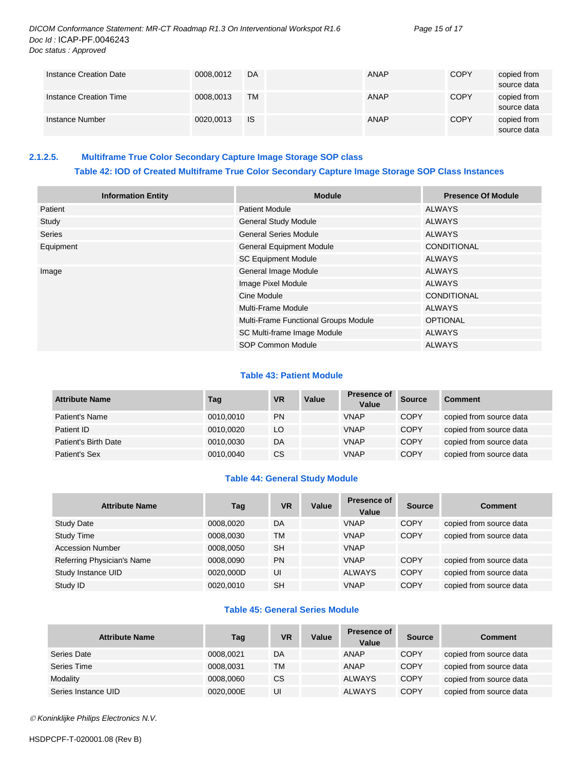*DICOM Conformance Statement: MR-CT Roadmap R1.3 On Interventional Workspot R1.6 Page 15 of 17 Doc Id :* ICAP-PF.0046243 *Doc status : Approved*

| Instance Creation Date | 0008.0012 | DA        | <b>ANAP</b> | <b>COPY</b> | copied from<br>source data |
|------------------------|-----------|-----------|-------------|-------------|----------------------------|
| Instance Creation Time | 0008,0013 | TM.       | ANAP        | <b>COPY</b> | copied from<br>source data |
| Instance Number        | 0020,0013 | <b>IS</b> | <b>ANAP</b> | <b>COPY</b> | copied from<br>source data |

# <span id="page-14-0"></span>**2.1.2.5. Multiframe True Color Secondary Capture Image Storage SOP class Table 42: IOD of Created Multiframe True Color Secondary Capture Image Storage SOP Class Instances**

| <b>Information Entity</b> | <b>Module</b>                        | <b>Presence Of Module</b> |
|---------------------------|--------------------------------------|---------------------------|
| Patient                   | <b>Patient Module</b>                | <b>ALWAYS</b>             |
| Study                     | <b>General Study Module</b>          | <b>ALWAYS</b>             |
| <b>Series</b>             | <b>General Series Module</b>         | <b>ALWAYS</b>             |
| Equipment                 | <b>General Equipment Module</b>      | <b>CONDITIONAL</b>        |
|                           | <b>SC Equipment Module</b>           | <b>ALWAYS</b>             |
| Image                     | General Image Module                 | <b>ALWAYS</b>             |
|                           | Image Pixel Module                   | <b>ALWAYS</b>             |
|                           | Cine Module                          | <b>CONDITIONAL</b>        |
|                           | Multi-Frame Module                   | <b>ALWAYS</b>             |
|                           | Multi-Frame Functional Groups Module | <b>OPTIONAL</b>           |
|                           | SC Multi-frame Image Module          | <b>ALWAYS</b>             |
|                           | <b>SOP Common Module</b>             | <b>ALWAYS</b>             |

# **Table 43: Patient Module**

| <b>Attribute Name</b> | Tag       | <b>VR</b> | Value | <b>Presence of</b><br>Value | <b>Source</b> | <b>Comment</b>          |
|-----------------------|-----------|-----------|-------|-----------------------------|---------------|-------------------------|
| Patient's Name        | 0010,0010 | <b>PN</b> |       | <b>VNAP</b>                 | <b>COPY</b>   | copied from source data |
| Patient ID            | 0010,0020 | LO        |       | <b>VNAP</b>                 | <b>COPY</b>   | copied from source data |
| Patient's Birth Date  | 0010,0030 | DA        |       | <b>VNAP</b>                 | <b>COPY</b>   | copied from source data |
| Patient's Sex         | 0010,0040 | CS.       |       | <b>VNAP</b>                 | <b>COPY</b>   | copied from source data |

#### **Table 44: General Study Module**

| <b>Attribute Name</b>      | Tag       | <b>VR</b> | Value | <b>Presence of</b><br>Value | <b>Source</b> | <b>Comment</b>          |
|----------------------------|-----------|-----------|-------|-----------------------------|---------------|-------------------------|
| <b>Study Date</b>          | 0008,0020 | DA        |       | <b>VNAP</b>                 | <b>COPY</b>   | copied from source data |
| <b>Study Time</b>          | 0008.0030 | <b>TM</b> |       | <b>VNAP</b>                 | <b>COPY</b>   | copied from source data |
| <b>Accession Number</b>    | 0008.0050 | <b>SH</b> |       | <b>VNAP</b>                 |               |                         |
| Referring Physician's Name | 0008,0090 | <b>PN</b> |       | <b>VNAP</b>                 | <b>COPY</b>   | copied from source data |
| Study Instance UID         | 0020,000D | UI        |       | <b>ALWAYS</b>               | <b>COPY</b>   | copied from source data |
| Study ID                   | 0020.0010 | <b>SH</b> |       | <b>VNAP</b>                 | <b>COPY</b>   | copied from source data |

# **Table 45: General Series Module**

| <b>Attribute Name</b> | Tag       | <b>VR</b> | Value | <b>Presence of</b><br>Value | <b>Source</b> | <b>Comment</b>          |
|-----------------------|-----------|-----------|-------|-----------------------------|---------------|-------------------------|
| Series Date           | 0008,0021 | DA        |       | ANAP                        | <b>COPY</b>   | copied from source data |
| Series Time           | 0008,0031 | TM        |       | ANAP                        | <b>COPY</b>   | copied from source data |
| Modality              | 0008,0060 | CS        |       | <b>ALWAYS</b>               | <b>COPY</b>   | copied from source data |
| Series Instance UID   | 0020,000E | UI        |       | <b>ALWAYS</b>               | <b>COPY</b>   | copied from source data |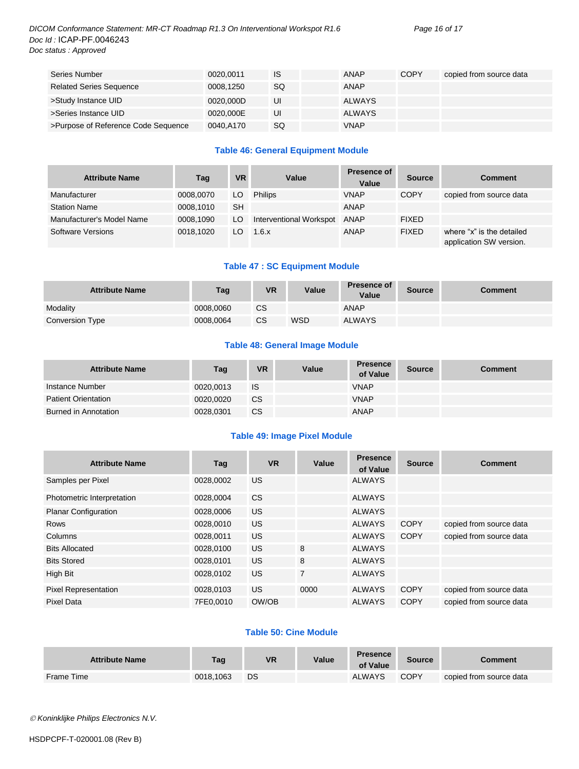# *DICOM Conformance Statement: MR-CT Roadmap R1.3 On Interventional Workspot R1.6 Page 16 of 17 Doc Id :* ICAP-PF.0046243 *Doc status : Approved*

| Series Number                       | 0020.0011 | IS        | ANAP          | <b>COPY</b> | copied from source data |
|-------------------------------------|-----------|-----------|---------------|-------------|-------------------------|
| <b>Related Series Sequence</b>      | 0008,1250 | <b>SQ</b> | ANAP          |             |                         |
| >Study Instance UID                 | 0020.000D | UI        | <b>ALWAYS</b> |             |                         |
| >Series Instance UID                | 0020,000E | UI        | <b>ALWAYS</b> |             |                         |
| >Purpose of Reference Code Sequence | 0040,A170 | SQ        | <b>VNAP</b>   |             |                         |

# **Table 46: General Equipment Module**

| <b>Attribute Name</b>     | Tag       | <b>VR</b> | Value                        | <b>Presence of</b><br>Value | <b>Source</b> | <b>Comment</b>                                       |
|---------------------------|-----------|-----------|------------------------------|-----------------------------|---------------|------------------------------------------------------|
| Manufacturer              | 0008.0070 | LO        | Philips                      | <b>VNAP</b>                 | <b>COPY</b>   | copied from source data                              |
| <b>Station Name</b>       | 0008.1010 | SH        |                              | <b>ANAP</b>                 |               |                                                      |
| Manufacturer's Model Name | 0008.1090 | LO        | Interventional Workspot ANAP |                             | <b>FIXED</b>  |                                                      |
| Software Versions         | 0018.1020 | LO.       | 1.6.x                        | <b>ANAP</b>                 | <b>FIXED</b>  | where "x" is the detailed<br>application SW version. |

# **Table 47 : SC Equipment Module**

| <b>Attribute Name</b> | Tag       | <b>VR</b> | Value      | <b>Presence of</b><br><b>Value</b> | <b>Source</b> | Comment |
|-----------------------|-----------|-----------|------------|------------------------------------|---------------|---------|
| Modality              | 0008.0060 | <b>CS</b> |            | ANAP                               |               |         |
| Conversion Type       | 0008.0064 | CS        | <b>WSD</b> | <b>ALWAYS</b>                      |               |         |

# **Table 48: General Image Module**

| <b>Attribute Name</b>      | Tag       | <b>VR</b> | Value | <b>Presence</b><br>of Value | <b>Source</b> | <b>Comment</b> |
|----------------------------|-----------|-----------|-------|-----------------------------|---------------|----------------|
| Instance Number            | 0020.0013 | IS        |       | <b>VNAP</b>                 |               |                |
| <b>Patient Orientation</b> | 0020.0020 | <b>CS</b> |       | <b>VNAP</b>                 |               |                |
| Burned in Annotation       | 0028,0301 | CS        |       | ANAP                        |               |                |

# **Table 49: Image Pixel Module**

| <b>Attribute Name</b>       | Taq       | <b>VR</b> | Value          | <b>Presence</b><br>of Value | <b>Source</b> | <b>Comment</b>          |
|-----------------------------|-----------|-----------|----------------|-----------------------------|---------------|-------------------------|
| Samples per Pixel           | 0028.0002 | <b>US</b> |                | <b>ALWAYS</b>               |               |                         |
| Photometric Interpretation  | 0028,0004 | <b>CS</b> |                | <b>ALWAYS</b>               |               |                         |
| <b>Planar Configuration</b> | 0028,0006 | US.       |                | <b>ALWAYS</b>               |               |                         |
| Rows                        | 0028,0010 | US.       |                | <b>ALWAYS</b>               | <b>COPY</b>   | copied from source data |
| Columns                     | 0028,0011 | US.       |                | <b>ALWAYS</b>               | <b>COPY</b>   | copied from source data |
| <b>Bits Allocated</b>       | 0028,0100 | <b>US</b> | 8              | <b>ALWAYS</b>               |               |                         |
| <b>Bits Stored</b>          | 0028.0101 | US.       | 8              | <b>ALWAYS</b>               |               |                         |
| High Bit                    | 0028,0102 | <b>US</b> | $\overline{7}$ | <b>ALWAYS</b>               |               |                         |
| <b>Pixel Representation</b> | 0028,0103 | US.       | 0000           | <b>ALWAYS</b>               | <b>COPY</b>   | copied from source data |
| Pixel Data                  | 7FE0.0010 | OW/OB     |                | <b>ALWAYS</b>               | COPY          | copied from source data |

# **Table 50: Cine Module**

| <b>Attribute Name</b> | Tag       | <b>VR</b> | Value | <b>Presence</b><br>of Value | <b>Source</b> | Comment                 |
|-----------------------|-----------|-----------|-------|-----------------------------|---------------|-------------------------|
| Frame Time            | 0018.1063 | DS        |       | <b>ALWAYS</b>               | <b>COPY</b>   | copied from source data |